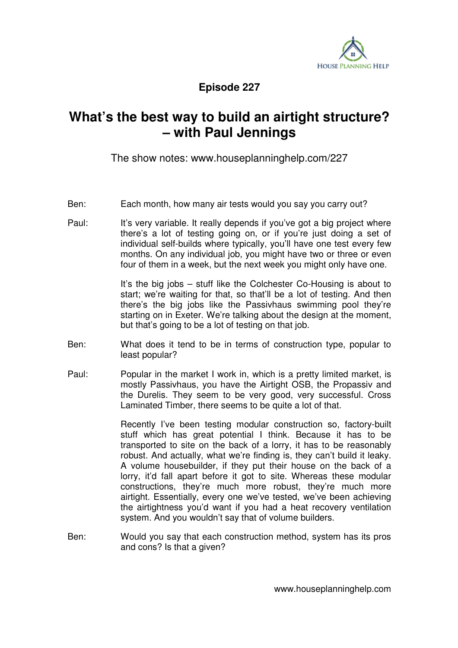

**Episode 227** 

## **What's the best way to build an airtight structure? – with Paul Jennings**

The show notes: www.houseplanninghelp.com/227

- Ben: Each month, how many air tests would you say you carry out?
- Paul: It's very variable. It really depends if you've got a big project where there's a lot of testing going on, or if you're just doing a set of individual self-builds where typically, you'll have one test every few months. On any individual job, you might have two or three or even four of them in a week, but the next week you might only have one.

It's the big jobs – stuff like the Colchester Co-Housing is about to start; we're waiting for that, so that'll be a lot of testing. And then there's the big jobs like the Passivhaus swimming pool they're starting on in Exeter. We're talking about the design at the moment, but that's going to be a lot of testing on that job.

- Ben: What does it tend to be in terms of construction type, popular to least popular?
- Paul: Popular in the market I work in, which is a pretty limited market, is mostly Passivhaus, you have the Airtight OSB, the Propassiv and the Durelis. They seem to be very good, very successful. Cross Laminated Timber, there seems to be quite a lot of that.

 Recently I've been testing modular construction so, factory-built stuff which has great potential I think. Because it has to be transported to site on the back of a lorry, it has to be reasonably robust. And actually, what we're finding is, they can't build it leaky. A volume housebuilder, if they put their house on the back of a lorry, it'd fall apart before it got to site. Whereas these modular constructions, they're much more robust, they're much more airtight. Essentially, every one we've tested, we've been achieving the airtightness you'd want if you had a heat recovery ventilation system. And you wouldn't say that of volume builders.

Ben: Would you say that each construction method, system has its pros and cons? Is that a given?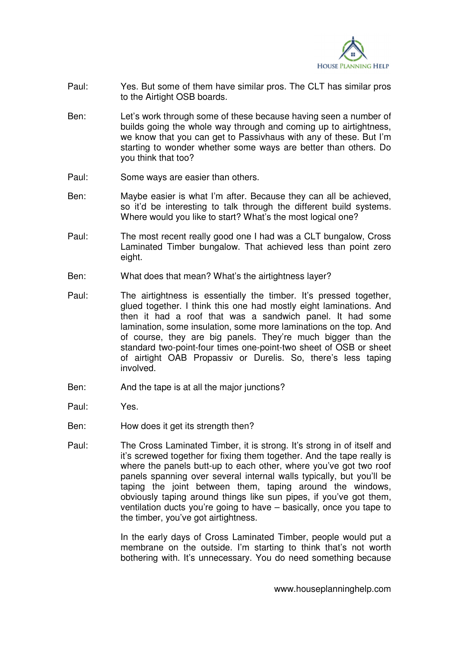

- Paul: Yes. But some of them have similar pros. The CLT has similar pros to the Airtight OSB boards.
- Ben: Let's work through some of these because having seen a number of builds going the whole way through and coming up to airtightness, we know that you can get to Passivhaus with any of these. But I'm starting to wonder whether some ways are better than others. Do you think that too?
- Paul: Some ways are easier than others.
- Ben: Maybe easier is what I'm after. Because they can all be achieved, so it'd be interesting to talk through the different build systems. Where would you like to start? What's the most logical one?
- Paul: The most recent really good one I had was a CLT bungalow, Cross Laminated Timber bungalow. That achieved less than point zero eight.
- Ben: What does that mean? What's the airtightness layer?
- Paul: The airtightness is essentially the timber. It's pressed together, glued together. I think this one had mostly eight laminations. And then it had a roof that was a sandwich panel. It had some lamination, some insulation, some more laminations on the top. And of course, they are big panels. They're much bigger than the standard two-point-four times one-point-two sheet of OSB or sheet of airtight OAB Propassiv or Durelis. So, there's less taping involved.
- Ben: And the tape is at all the major junctions?
- Paul: Yes.
- Ben: How does it get its strength then?
- Paul: The Cross Laminated Timber, it is strong. It's strong in of itself and it's screwed together for fixing them together. And the tape really is where the panels butt-up to each other, where you've got two roof panels spanning over several internal walls typically, but you'll be taping the joint between them, taping around the windows, obviously taping around things like sun pipes, if you've got them, ventilation ducts you're going to have – basically, once you tape to the timber, you've got airtightness.

 In the early days of Cross Laminated Timber, people would put a membrane on the outside. I'm starting to think that's not worth bothering with. It's unnecessary. You do need something because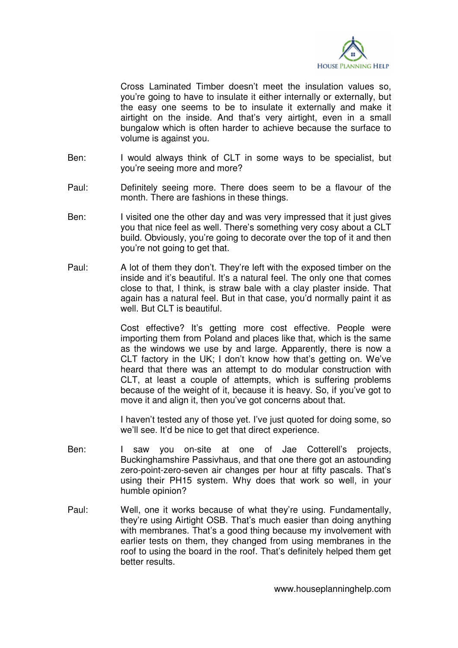

Cross Laminated Timber doesn't meet the insulation values so, you're going to have to insulate it either internally or externally, but the easy one seems to be to insulate it externally and make it airtight on the inside. And that's very airtight, even in a small bungalow which is often harder to achieve because the surface to volume is against you.

- Ben: I would always think of CLT in some ways to be specialist, but you're seeing more and more?
- Paul: Definitely seeing more. There does seem to be a flavour of the month. There are fashions in these things.
- Ben: I visited one the other day and was very impressed that it just gives you that nice feel as well. There's something very cosy about a CLT build. Obviously, you're going to decorate over the top of it and then you're not going to get that.
- Paul: A lot of them they don't. They're left with the exposed timber on the inside and it's beautiful. It's a natural feel. The only one that comes close to that, I think, is straw bale with a clay plaster inside. That again has a natural feel. But in that case, you'd normally paint it as well. But CLT is beautiful.

 Cost effective? It's getting more cost effective. People were importing them from Poland and places like that, which is the same as the windows we use by and large. Apparently, there is now a CLT factory in the UK; I don't know how that's getting on. We've heard that there was an attempt to do modular construction with CLT, at least a couple of attempts, which is suffering problems because of the weight of it, because it is heavy. So, if you've got to move it and align it, then you've got concerns about that.

 I haven't tested any of those yet. I've just quoted for doing some, so we'll see. It'd be nice to get that direct experience.

- Ben: I saw you on-site at one of Jae Cotterell's projects, Buckinghamshire Passivhaus, and that one there got an astounding zero-point-zero-seven air changes per hour at fifty pascals. That's using their PH15 system. Why does that work so well, in your humble opinion?
- Paul: Well, one it works because of what they're using. Fundamentally, they're using Airtight OSB. That's much easier than doing anything with membranes. That's a good thing because my involvement with earlier tests on them, they changed from using membranes in the roof to using the board in the roof. That's definitely helped them get better results.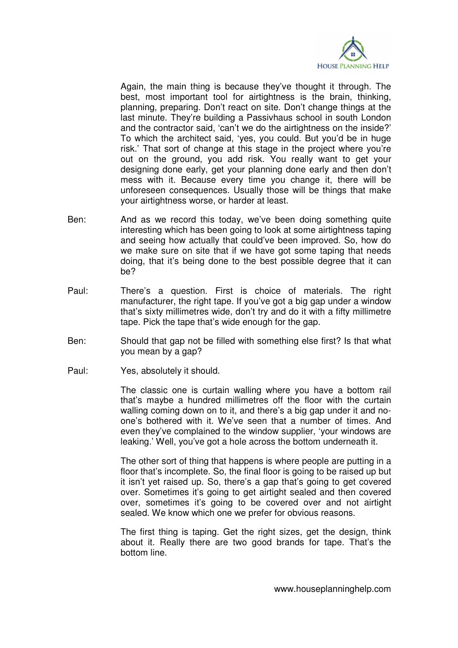

 Again, the main thing is because they've thought it through. The best, most important tool for airtightness is the brain, thinking, planning, preparing. Don't react on site. Don't change things at the last minute. They're building a Passivhaus school in south London and the contractor said, 'can't we do the airtightness on the inside?' To which the architect said, 'yes, you could. But you'd be in huge risk.' That sort of change at this stage in the project where you're out on the ground, you add risk. You really want to get your designing done early, get your planning done early and then don't mess with it. Because every time you change it, there will be unforeseen consequences. Usually those will be things that make your airtightness worse, or harder at least.

- Ben: And as we record this today, we've been doing something quite interesting which has been going to look at some airtightness taping and seeing how actually that could've been improved. So, how do we make sure on site that if we have got some taping that needs doing, that it's being done to the best possible degree that it can be?
- Paul: There's a question. First is choice of materials. The right manufacturer, the right tape. If you've got a big gap under a window that's sixty millimetres wide, don't try and do it with a fifty millimetre tape. Pick the tape that's wide enough for the gap.
- Ben: Should that gap not be filled with something else first? Is that what you mean by a gap?
- Paul: Yes, absolutely it should.

 The classic one is curtain walling where you have a bottom rail that's maybe a hundred millimetres off the floor with the curtain walling coming down on to it, and there's a big gap under it and noone's bothered with it. We've seen that a number of times. And even they've complained to the window supplier, 'your windows are leaking.' Well, you've got a hole across the bottom underneath it.

 The other sort of thing that happens is where people are putting in a floor that's incomplete. So, the final floor is going to be raised up but it isn't yet raised up. So, there's a gap that's going to get covered over. Sometimes it's going to get airtight sealed and then covered over, sometimes it's going to be covered over and not airtight sealed. We know which one we prefer for obvious reasons.

 The first thing is taping. Get the right sizes, get the design, think about it. Really there are two good brands for tape. That's the bottom line.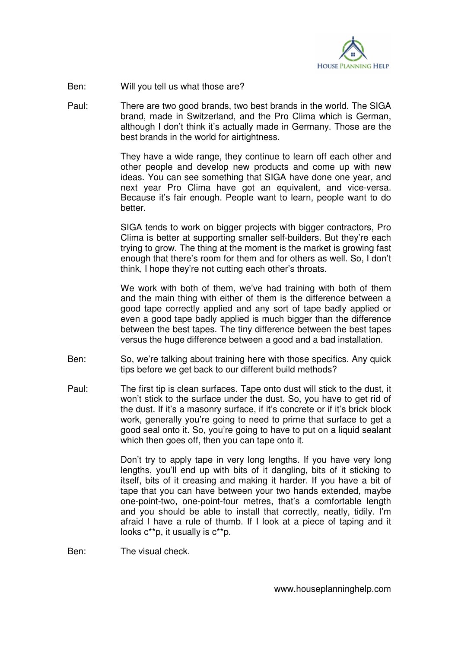

Ben: Will you tell us what those are?

Paul: There are two good brands, two best brands in the world. The SIGA brand, made in Switzerland, and the Pro Clima which is German, although I don't think it's actually made in Germany. Those are the best brands in the world for airtightness.

> They have a wide range, they continue to learn off each other and other people and develop new products and come up with new ideas. You can see something that SIGA have done one year, and next year Pro Clima have got an equivalent, and vice-versa. Because it's fair enough. People want to learn, people want to do better.

> SIGA tends to work on bigger projects with bigger contractors, Pro Clima is better at supporting smaller self-builders. But they're each trying to grow. The thing at the moment is the market is growing fast enough that there's room for them and for others as well. So, I don't think, I hope they're not cutting each other's throats.

> We work with both of them, we've had training with both of them and the main thing with either of them is the difference between a good tape correctly applied and any sort of tape badly applied or even a good tape badly applied is much bigger than the difference between the best tapes. The tiny difference between the best tapes versus the huge difference between a good and a bad installation.

- Ben: So, we're talking about training here with those specifics. Any quick tips before we get back to our different build methods?
- Paul: The first tip is clean surfaces. Tape onto dust will stick to the dust, it won't stick to the surface under the dust. So, you have to get rid of the dust. If it's a masonry surface, if it's concrete or if it's brick block work, generally you're going to need to prime that surface to get a good seal onto it. So, you're going to have to put on a liquid sealant which then goes off, then you can tape onto it.

 Don't try to apply tape in very long lengths. If you have very long lengths, you'll end up with bits of it dangling, bits of it sticking to itself, bits of it creasing and making it harder. If you have a bit of tape that you can have between your two hands extended, maybe one-point-two, one-point-four metres, that's a comfortable length and you should be able to install that correctly, neatly, tidily. I'm afraid I have a rule of thumb. If I look at a piece of taping and it looks c\*\*p, it usually is c\*\*p.

Ben: The visual check.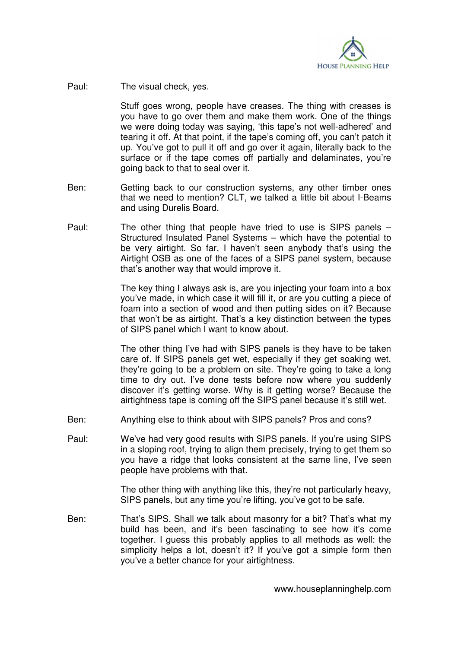

Paul: The visual check, yes.

 Stuff goes wrong, people have creases. The thing with creases is you have to go over them and make them work. One of the things we were doing today was saying, 'this tape's not well-adhered' and tearing it off. At that point, if the tape's coming off, you can't patch it up. You've got to pull it off and go over it again, literally back to the surface or if the tape comes off partially and delaminates, you're going back to that to seal over it.

- Ben: Getting back to our construction systems, any other timber ones that we need to mention? CLT, we talked a little bit about I-Beams and using Durelis Board.
- Paul: The other thing that people have tried to use is SIPS panels Structured Insulated Panel Systems – which have the potential to be very airtight. So far, I haven't seen anybody that's using the Airtight OSB as one of the faces of a SIPS panel system, because that's another way that would improve it.

 The key thing I always ask is, are you injecting your foam into a box you've made, in which case it will fill it, or are you cutting a piece of foam into a section of wood and then putting sides on it? Because that won't be as airtight. That's a key distinction between the types of SIPS panel which I want to know about.

 The other thing I've had with SIPS panels is they have to be taken care of. If SIPS panels get wet, especially if they get soaking wet, they're going to be a problem on site. They're going to take a long time to dry out. I've done tests before now where you suddenly discover it's getting worse. Why is it getting worse? Because the airtightness tape is coming off the SIPS panel because it's still wet.

- Ben: Anything else to think about with SIPS panels? Pros and cons?
- Paul: We've had very good results with SIPS panels. If you're using SIPS in a sloping roof, trying to align them precisely, trying to get them so you have a ridge that looks consistent at the same line, I've seen people have problems with that.

 The other thing with anything like this, they're not particularly heavy, SIPS panels, but any time you're lifting, you've got to be safe.

Ben: That's SIPS. Shall we talk about masonry for a bit? That's what my build has been, and it's been fascinating to see how it's come together. I guess this probably applies to all methods as well: the simplicity helps a lot, doesn't it? If you've got a simple form then you've a better chance for your airtightness.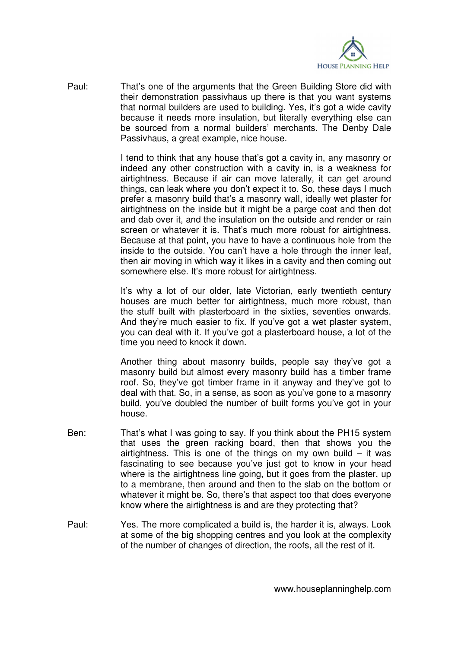

Paul: That's one of the arguments that the Green Building Store did with their demonstration passivhaus up there is that you want systems that normal builders are used to building. Yes, it's got a wide cavity because it needs more insulation, but literally everything else can be sourced from a normal builders' merchants. The Denby Dale Passivhaus, a great example, nice house.

> I tend to think that any house that's got a cavity in, any masonry or indeed any other construction with a cavity in, is a weakness for airtightness. Because if air can move laterally, it can get around things, can leak where you don't expect it to. So, these days I much prefer a masonry build that's a masonry wall, ideally wet plaster for airtightness on the inside but it might be a parge coat and then dot and dab over it, and the insulation on the outside and render or rain screen or whatever it is. That's much more robust for airtightness. Because at that point, you have to have a continuous hole from the inside to the outside. You can't have a hole through the inner leaf, then air moving in which way it likes in a cavity and then coming out somewhere else. It's more robust for airtightness.

> It's why a lot of our older, late Victorian, early twentieth century houses are much better for airtightness, much more robust, than the stuff built with plasterboard in the sixties, seventies onwards. And they're much easier to fix. If you've got a wet plaster system, you can deal with it. If you've got a plasterboard house, a lot of the time you need to knock it down.

> Another thing about masonry builds, people say they've got a masonry build but almost every masonry build has a timber frame roof. So, they've got timber frame in it anyway and they've got to deal with that. So, in a sense, as soon as you've gone to a masonry build, you've doubled the number of built forms you've got in your house.

- Ben: That's what I was going to say. If you think about the PH15 system that uses the green racking board, then that shows you the airtightness. This is one of the things on my own build  $-$  it was fascinating to see because you've just got to know in your head where is the airtightness line going, but it goes from the plaster, up to a membrane, then around and then to the slab on the bottom or whatever it might be. So, there's that aspect too that does everyone know where the airtightness is and are they protecting that?
- Paul: Yes. The more complicated a build is, the harder it is, always. Look at some of the big shopping centres and you look at the complexity of the number of changes of direction, the roofs, all the rest of it.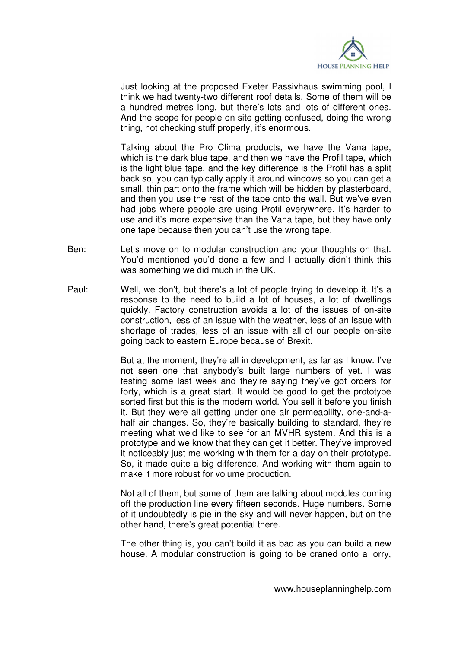

 Just looking at the proposed Exeter Passivhaus swimming pool, I think we had twenty-two different roof details. Some of them will be a hundred metres long, but there's lots and lots of different ones. And the scope for people on site getting confused, doing the wrong thing, not checking stuff properly, it's enormous.

 Talking about the Pro Clima products, we have the Vana tape, which is the dark blue tape, and then we have the Profil tape, which is the light blue tape, and the key difference is the Profil has a split back so, you can typically apply it around windows so you can get a small, thin part onto the frame which will be hidden by plasterboard, and then you use the rest of the tape onto the wall. But we've even had jobs where people are using Profil everywhere. It's harder to use and it's more expensive than the Vana tape, but they have only one tape because then you can't use the wrong tape.

- Ben: Let's move on to modular construction and your thoughts on that. You'd mentioned you'd done a few and I actually didn't think this was something we did much in the UK.
- Paul: Well, we don't, but there's a lot of people trying to develop it. It's a response to the need to build a lot of houses, a lot of dwellings quickly. Factory construction avoids a lot of the issues of on-site construction, less of an issue with the weather, less of an issue with shortage of trades, less of an issue with all of our people on-site going back to eastern Europe because of Brexit.

 But at the moment, they're all in development, as far as I know. I've not seen one that anybody's built large numbers of yet. I was testing some last week and they're saying they've got orders for forty, which is a great start. It would be good to get the prototype sorted first but this is the modern world. You sell it before you finish it. But they were all getting under one air permeability, one-and-ahalf air changes. So, they're basically building to standard, they're meeting what we'd like to see for an MVHR system. And this is a prototype and we know that they can get it better. They've improved it noticeably just me working with them for a day on their prototype. So, it made quite a big difference. And working with them again to make it more robust for volume production.

 Not all of them, but some of them are talking about modules coming off the production line every fifteen seconds. Huge numbers. Some of it undoubtedly is pie in the sky and will never happen, but on the other hand, there's great potential there.

 The other thing is, you can't build it as bad as you can build a new house. A modular construction is going to be craned onto a lorry,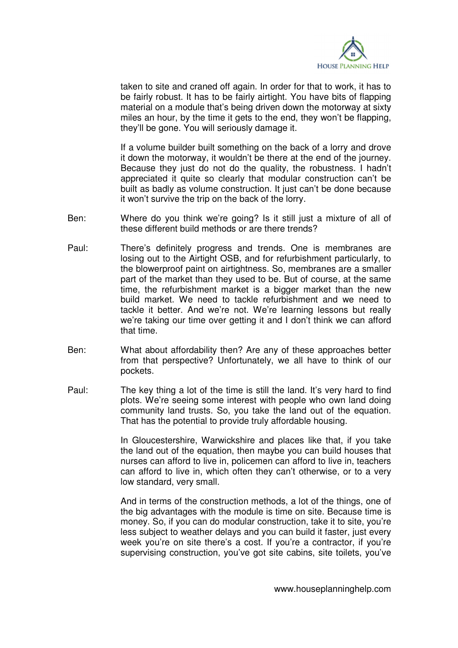

taken to site and craned off again. In order for that to work, it has to be fairly robust. It has to be fairly airtight. You have bits of flapping material on a module that's being driven down the motorway at sixty miles an hour, by the time it gets to the end, they won't be flapping. they'll be gone. You will seriously damage it.

 If a volume builder built something on the back of a lorry and drove it down the motorway, it wouldn't be there at the end of the journey. Because they just do not do the quality, the robustness. I hadn't appreciated it quite so clearly that modular construction can't be built as badly as volume construction. It just can't be done because it won't survive the trip on the back of the lorry.

- Ben: Where do you think we're going? Is it still just a mixture of all of these different build methods or are there trends?
- Paul: There's definitely progress and trends. One is membranes are losing out to the Airtight OSB, and for refurbishment particularly, to the blowerproof paint on airtightness. So, membranes are a smaller part of the market than they used to be. But of course, at the same time, the refurbishment market is a bigger market than the new build market. We need to tackle refurbishment and we need to tackle it better. And we're not. We're learning lessons but really we're taking our time over getting it and I don't think we can afford that time.
- Ben: What about affordability then? Are any of these approaches better from that perspective? Unfortunately, we all have to think of our pockets.
- Paul: The key thing a lot of the time is still the land. It's very hard to find plots. We're seeing some interest with people who own land doing community land trusts. So, you take the land out of the equation. That has the potential to provide truly affordable housing.

 In Gloucestershire, Warwickshire and places like that, if you take the land out of the equation, then maybe you can build houses that nurses can afford to live in, policemen can afford to live in, teachers can afford to live in, which often they can't otherwise, or to a very low standard, very small.

 And in terms of the construction methods, a lot of the things, one of the big advantages with the module is time on site. Because time is money. So, if you can do modular construction, take it to site, you're less subject to weather delays and you can build it faster, just every week you're on site there's a cost. If you're a contractor, if you're supervising construction, you've got site cabins, site toilets, you've